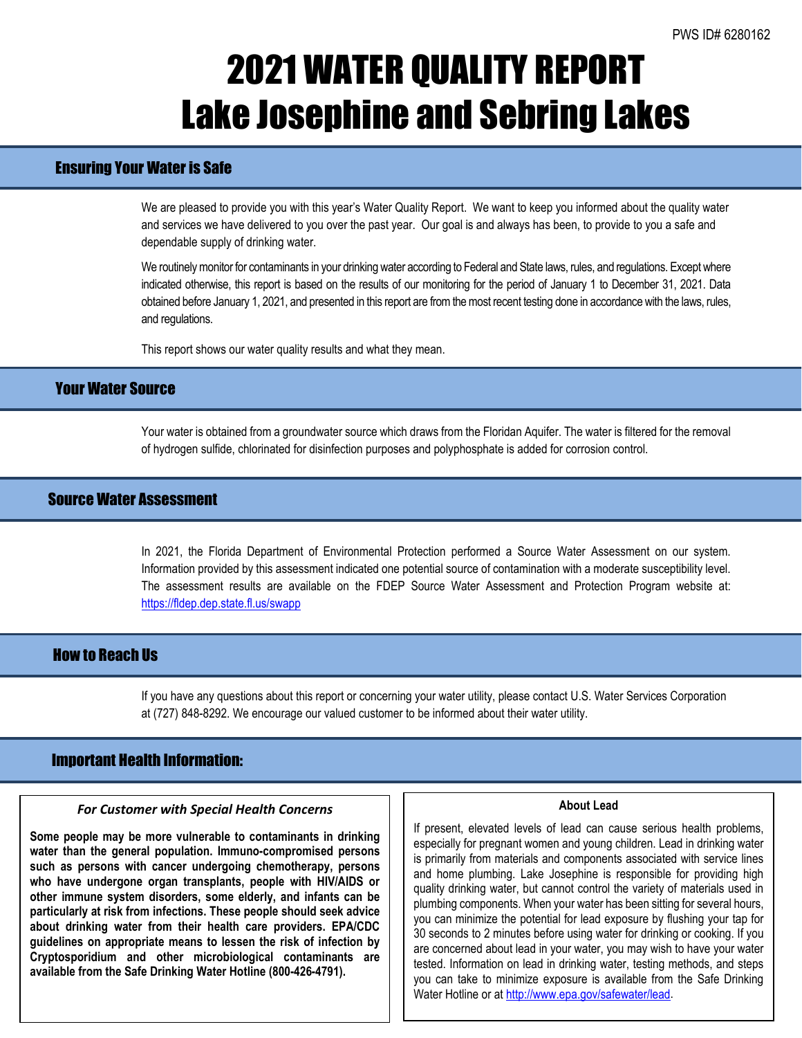# 2021 WATER QUALITY REPORT Lake Josephine and Sebring Lakes

## Ensuring Your Water is Safe

We are pleased to provide you with this year's Water Quality Report. We want to keep you informed about the quality water and services we have delivered to you over the past year. Our goal is and always has been, to provide to you a safe and dependable supply of drinking water.

We routinely monitor for contaminants in your drinking water according to Federal and State laws, rules, and regulations. Except where indicated otherwise, this report is based on the results of our monitoring for the period of January 1 to December 31, 2021. Data obtained before January 1, 2021, and presented in this report are from the most recent testing done in accordance with the laws, rules, and regulations.

This report shows our water quality results and what they mean.

### Your Water Source

Your water is obtained from a groundwater source which draws from the Floridan Aquifer. The water is filtered for the removal of hydrogen sulfide, chlorinated for disinfection purposes and polyphosphate is added for corrosion control.

### Source Water Assessment

In 2021, the Florida Department of Environmental Protection performed a Source Water Assessment on our system. Information provided by this assessment indicated one potential source of contamination with a moderate susceptibility level. The assessment results are available on the FDEP Source Water Assessment and Protection Program website at: <https://fldep.dep.state.fl.us/swapp>

### How to Reach Us

If you have any questions about this report or concerning your water utility, please contact U.S. Water Services Corporation at (727) 848-8292. We encourage our valued customer to be informed about their water utility.

### Important Health Information:

l

#### *For Customer with Special Health Concerns*

**Some people may be more vulnerable to contaminants in drinking water than the general population. Immuno-compromised persons such as persons with cancer undergoing chemotherapy, persons who have undergone organ transplants, people with HIV/AIDS or other immune system disorders, some elderly, and infants can be particularly at risk from infections. These people should seek advice about drinking water from their health care providers. EPA/CDC guidelines on appropriate means to lessen the risk of infection by Cryptosporidium and other microbiological contaminants are available from the Safe Drinking Water Hotline (800-426-4791).**

#### **About Lead**

If present, elevated levels of lead can cause serious health problems, especially for pregnant women and young children. Lead in drinking water is primarily from materials and components associated with service lines and home plumbing. Lake Josephine is responsible for providing high quality drinking water, but cannot control the variety of materials used in plumbing components. When your water has been sitting for several hours, you can minimize the potential for lead exposure by flushing your tap for 30 seconds to 2 minutes before using water for drinking or cooking. If you are concerned about lead in your water, you may wish to have your water tested. Information on lead in drinking water, testing methods, and steps you can take to minimize exposure is available from the Safe Drinking Water Hotline or a[t http://www.epa.gov/safewater/lead.](http://www.epa.gov/safewater/lead)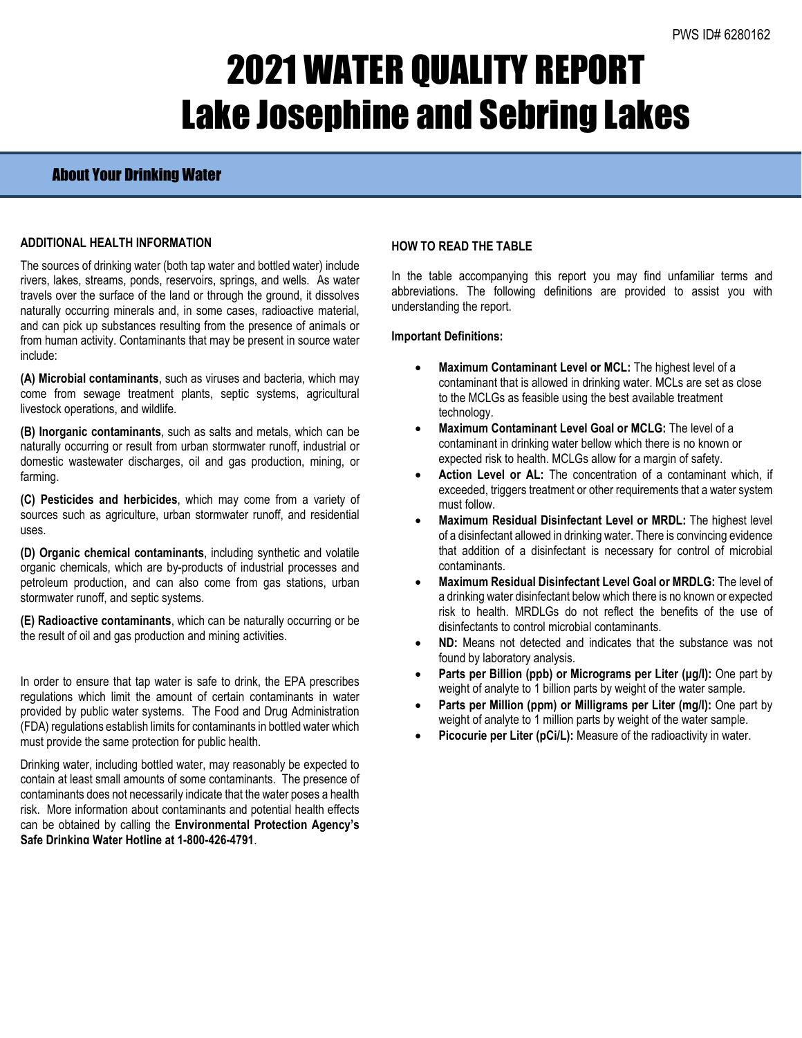# 2021 WATER QUALITY REPORT Lake Josephine and Sebring Lakes

### About Your Drinking Water

### **ADDITIONAL HEALTH INFORMATION**

The sources of drinking water (both tap water and bottled water) include rivers, lakes, streams, ponds, reservoirs, springs, and wells. As water travels over the surface of the land or through the ground, it dissolves naturally occurring minerals and, in some cases, radioactive material, and can pick up substances resulting from the presence of animals or from human activity. Contaminants that may be present in source water include:

**(A) Microbial contaminants**, such as viruses and bacteria, which may come from sewage treatment plants, septic systems, agricultural livestock operations, and wildlife.

**(B) Inorganic contaminants**, such as salts and metals, which can be naturally occurring or result from urban stormwater runoff, industrial or domestic wastewater discharges, oil and gas production, mining, or farming.

**(C) Pesticides and herbicides**, which may come from a variety of sources such as agriculture, urban stormwater runoff, and residential uses.

**(D) Organic chemical contaminants**, including synthetic and volatile organic chemicals, which are by-products of industrial processes and petroleum production, and can also come from gas stations, urban stormwater runoff, and septic systems.

**(E) Radioactive contaminants**, which can be naturally occurring or be the result of oil and gas production and mining activities.

In order to ensure that tap water is safe to drink, the EPA prescribes regulations which limit the amount of certain contaminants in water provided by public water systems. The Food and Drug Administration (FDA) regulations establish limits for contaminants in bottled water which must provide the same protection for public health.

Drinking water, including bottled water, may reasonably be expected to contain at least small amounts of some contaminants. The presence of contaminants does not necessarily indicate that the water poses a health risk. More information about contaminants and potential health effects can be obtained by calling the **Environmental Protection Agency's Safe Drinking Water Hotline at 1-800-426-4791**.

### **HOW TO READ THE TABLE**

In the table accompanying this report you may find unfamiliar terms and abbreviations. The following definitions are provided to assist you with understanding the report.

### **Important Definitions:**

- **Maximum Contaminant Level or MCL:** The highest level of a contaminant that is allowed in drinking water. MCLs are set as close to the MCLGs as feasible using the best available treatment technology.
- **Maximum Contaminant Level Goal or MCLG:** The level of a contaminant in drinking water bellow which there is no known or expected risk to health. MCLGs allow for a margin of safety.
- Action Level or AL: The concentration of a contaminant which, if exceeded, triggers treatment or other requirements that a water system must follow.
- **Maximum Residual Disinfectant Level or MRDL:** The highest level of a disinfectant allowed in drinking water. There is convincing evidence that addition of a disinfectant is necessary for control of microbial contaminants.
- **Maximum Residual Disinfectant Level Goal or MRDLG:** The level of a drinking water disinfectant below which there is no known or expected risk to health. MRDLGs do not reflect the benefits of the use of disinfectants to control microbial contaminants.
- **ND:** Means not detected and indicates that the substance was not found by laboratory analysis.
- **Parts per Billion (ppb) or Micrograms per Liter (µg/l):** One part by weight of analyte to 1 billion parts by weight of the water sample.
- **Parts per Million (ppm) or Milligrams per Liter (mg/l):** One part by weight of analyte to 1 million parts by weight of the water sample.
- Picocurie per Liter (pCi/L): Measure of the radioactivity in water.